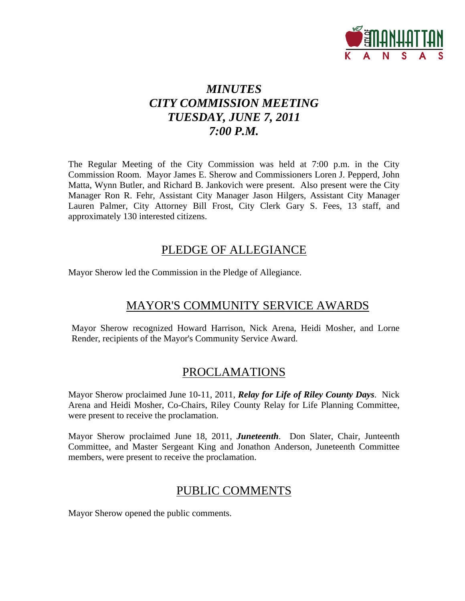

# *MINUTES CITY COMMISSION MEETING TUESDAY, JUNE 7, 2011 7:00 P.M.*

The Regular Meeting of the City Commission was held at 7:00 p.m. in the City Commission Room. Mayor James E. Sherow and Commissioners Loren J. Pepperd, John Matta, Wynn Butler, and Richard B. Jankovich were present. Also present were the City Manager Ron R. Fehr, Assistant City Manager Jason Hilgers, Assistant City Manager Lauren Palmer, City Attorney Bill Frost, City Clerk Gary S. Fees, 13 staff, and approximately 130 interested citizens.

## PLEDGE OF ALLEGIANCE

Mayor Sherow led the Commission in the Pledge of Allegiance.

## MAYOR'S COMMUNITY SERVICE AWARDS

Mayor Sherow recognized Howard Harrison, Nick Arena, Heidi Mosher, and Lorne Render, recipients of the Mayor's Community Service Award.

## PROCLAMATIONS

Mayor Sherow proclaimed June 10-11, 2011, *Relay for Life of Riley County Days*. Nick Arena and Heidi Mosher, Co-Chairs, Riley County Relay for Life Planning Committee, were present to receive the proclamation.

Mayor Sherow proclaimed June 18, 2011, *Juneteenth*. Don Slater, Chair, Junteenth Committee, and Master Sergeant King and Jonathon Anderson, Juneteenth Committee members, were present to receive the proclamation.

## PUBLIC COMMENTS

Mayor Sherow opened the public comments.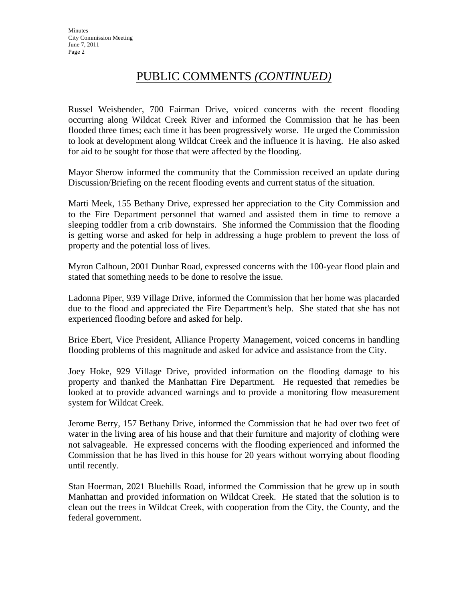## PUBLIC COMMENTS *(CONTINUED)*

Russel Weisbender, 700 Fairman Drive, voiced concerns with the recent flooding occurring along Wildcat Creek River and informed the Commission that he has been flooded three times; each time it has been progressively worse. He urged the Commission to look at development along Wildcat Creek and the influence it is having. He also asked for aid to be sought for those that were affected by the flooding.

Mayor Sherow informed the community that the Commission received an update during Discussion/Briefing on the recent flooding events and current status of the situation.

Marti Meek, 155 Bethany Drive, expressed her appreciation to the City Commission and to the Fire Department personnel that warned and assisted them in time to remove a sleeping toddler from a crib downstairs. She informed the Commission that the flooding is getting worse and asked for help in addressing a huge problem to prevent the loss of property and the potential loss of lives.

Myron Calhoun, 2001 Dunbar Road, expressed concerns with the 100-year flood plain and stated that something needs to be done to resolve the issue.

Ladonna Piper, 939 Village Drive, informed the Commission that her home was placarded due to the flood and appreciated the Fire Department's help. She stated that she has not experienced flooding before and asked for help.

Brice Ebert, Vice President, Alliance Property Management, voiced concerns in handling flooding problems of this magnitude and asked for advice and assistance from the City.

Joey Hoke, 929 Village Drive, provided information on the flooding damage to his property and thanked the Manhattan Fire Department. He requested that remedies be looked at to provide advanced warnings and to provide a monitoring flow measurement system for Wildcat Creek.

Jerome Berry, 157 Bethany Drive, informed the Commission that he had over two feet of water in the living area of his house and that their furniture and majority of clothing were not salvageable. He expressed concerns with the flooding experienced and informed the Commission that he has lived in this house for 20 years without worrying about flooding until recently.

Stan Hoerman, 2021 Bluehills Road, informed the Commission that he grew up in south Manhattan and provided information on Wildcat Creek. He stated that the solution is to clean out the trees in Wildcat Creek, with cooperation from the City, the County, and the federal government.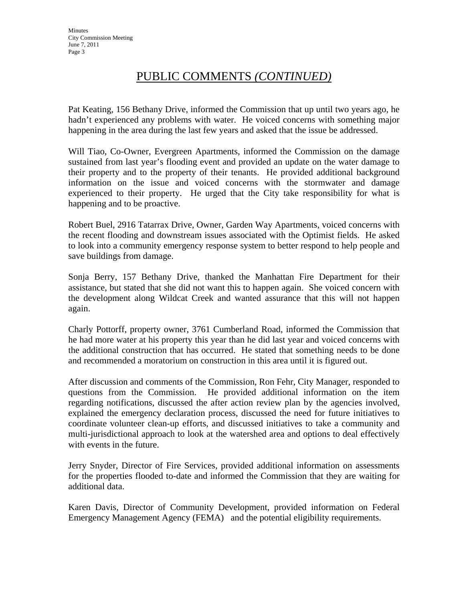## PUBLIC COMMENTS *(CONTINUED)*

Pat Keating, 156 Bethany Drive, informed the Commission that up until two years ago, he hadn't experienced any problems with water. He voiced concerns with something major happening in the area during the last few years and asked that the issue be addressed.

Will Tiao, Co-Owner, Evergreen Apartments, informed the Commission on the damage sustained from last year's flooding event and provided an update on the water damage to their property and to the property of their tenants. He provided additional background information on the issue and voiced concerns with the stormwater and damage experienced to their property. He urged that the City take responsibility for what is happening and to be proactive.

Robert Buel, 2916 Tatarrax Drive, Owner, Garden Way Apartments, voiced concerns with the recent flooding and downstream issues associated with the Optimist fields. He asked to look into a community emergency response system to better respond to help people and save buildings from damage.

Sonja Berry, 157 Bethany Drive, thanked the Manhattan Fire Department for their assistance, but stated that she did not want this to happen again. She voiced concern with the development along Wildcat Creek and wanted assurance that this will not happen again.

Charly Pottorff, property owner, 3761 Cumberland Road, informed the Commission that he had more water at his property this year than he did last year and voiced concerns with the additional construction that has occurred. He stated that something needs to be done and recommended a moratorium on construction in this area until it is figured out.

After discussion and comments of the Commission, Ron Fehr, City Manager, responded to questions from the Commission. He provided additional information on the item regarding notifications, discussed the after action review plan by the agencies involved, explained the emergency declaration process, discussed the need for future initiatives to coordinate volunteer clean-up efforts, and discussed initiatives to take a community and multi-jurisdictional approach to look at the watershed area and options to deal effectively with events in the future.

Jerry Snyder, Director of Fire Services, provided additional information on assessments for the properties flooded to-date and informed the Commission that they are waiting for additional data.

Karen Davis, Director of Community Development, provided information on Federal Emergency Management Agency (FEMA) and the potential eligibility requirements.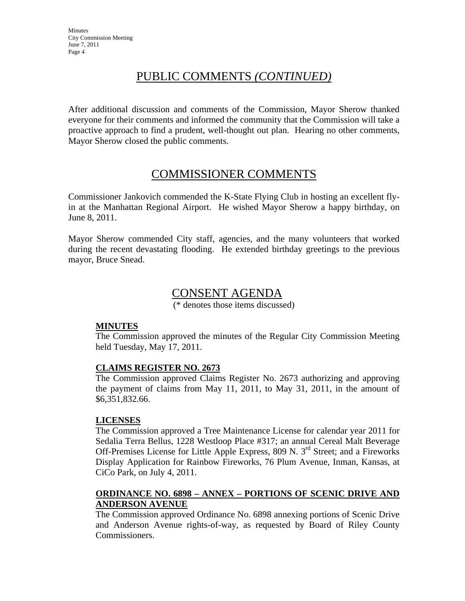# PUBLIC COMMENTS *(CONTINUED)*

After additional discussion and comments of the Commission, Mayor Sherow thanked everyone for their comments and informed the community that the Commission will take a proactive approach to find a prudent, well-thought out plan. Hearing no other comments, Mayor Sherow closed the public comments.

## COMMISSIONER COMMENTS

Commissioner Jankovich commended the K-State Flying Club in hosting an excellent flyin at the Manhattan Regional Airport. He wished Mayor Sherow a happy birthday, on June 8, 2011.

Mayor Sherow commended City staff, agencies, and the many volunteers that worked during the recent devastating flooding. He extended birthday greetings to the previous mayor, Bruce Snead.

## CONSENT AGENDA

(\* denotes those items discussed)

### **MINUTES**

The Commission approved the minutes of the Regular City Commission Meeting held Tuesday, May 17, 2011.

### **CLAIMS REGISTER NO. 2673**

The Commission approved Claims Register No. 2673 authorizing and approving the payment of claims from May 11, 2011, to May 31, 2011, in the amount of \$6,351,832.66.

### **LICENSES**

The Commission approved a Tree Maintenance License for calendar year 2011 for Sedalia Terra Bellus, 1228 Westloop Place #317; an annual Cereal Malt Beverage Off-Premises License for Little Apple Express, 809 N. 3<sup>rd</sup> Street; and a Fireworks Display Application for Rainbow Fireworks, 76 Plum Avenue, Inman, Kansas, at CiCo Park, on July 4, 2011.

### **ORDINANCE NO. 6898 – ANNEX – PORTIONS OF SCENIC DRIVE AND ANDERSON AVENUE**

The Commission approved Ordinance No. 6898 annexing portions of Scenic Drive and Anderson Avenue rights-of-way, as requested by Board of Riley County Commissioners.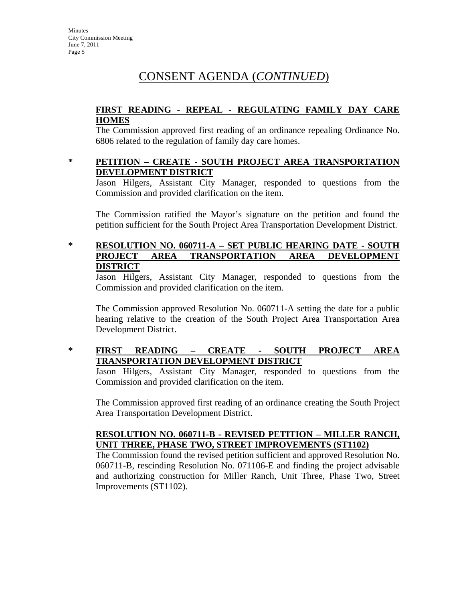#### **FIRST READING - REPEAL - REGULATING FAMILY DAY CARE HOMES**

The Commission approved first reading of an ordinance repealing Ordinance No. 6806 related to the regulation of family day care homes.

#### **\* PETITION – CREATE - SOUTH PROJECT AREA TRANSPORTATION DEVELOPMENT DISTRICT**

Jason Hilgers, Assistant City Manager, responded to questions from the Commission and provided clarification on the item.

The Commission ratified the Mayor's signature on the petition and found the petition sufficient for the South Project Area Transportation Development District.

### **\* RESOLUTION NO. 060711-A – SET PUBLIC HEARING DATE - SOUTH PROJECT AREA TRANSPORTATION AREA DEVELOPMENT DISTRICT**

Jason Hilgers, Assistant City Manager, responded to questions from the Commission and provided clarification on the item.

The Commission approved Resolution No. 060711-A setting the date for a public hearing relative to the creation of the South Project Area Transportation Area Development District.

### **\* FIRST READING – CREATE - SOUTH PROJECT AREA TRANSPORTATION DEVELOPMENT DISTRICT**

Jason Hilgers, Assistant City Manager, responded to questions from the Commission and provided clarification on the item.

The Commission approved first reading of an ordinance creating the South Project Area Transportation Development District.

### **RESOLUTION NO. 060711-B - REVISED PETITION – MILLER RANCH, UNIT THREE, PHASE TWO, STREET IMPROVEMENTS (ST1102)**

The Commission found the revised petition sufficient and approved Resolution No. 060711-B, rescinding Resolution No. 071106-E and finding the project advisable and authorizing construction for Miller Ranch, Unit Three, Phase Two, Street Improvements (ST1102).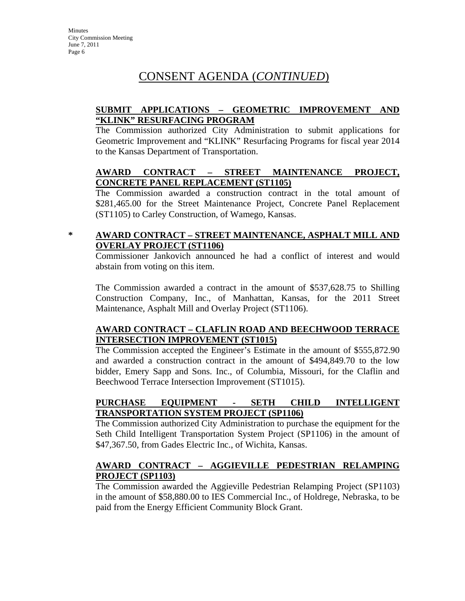## **SUBMIT APPLICATIONS – GEOMETRIC IMPROVEMENT AND "KLINK" RESURFACING PROGRAM**

The Commission authorized City Administration to submit applications for Geometric Improvement and "KLINK" Resurfacing Programs for fiscal year 2014 to the Kansas Department of Transportation.

### **AWARD CONTRACT – STREET MAINTENANCE PROJECT, CONCRETE PANEL REPLACEMENT (ST1105)**

The Commission awarded a construction contract in the total amount of \$281,465.00 for the Street Maintenance Project, Concrete Panel Replacement (ST1105) to Carley Construction, of Wamego, Kansas.

## **\* AWARD CONTRACT – STREET MAINTENANCE, ASPHALT MILL AND OVERLAY PROJECT (ST1106)**

Commissioner Jankovich announced he had a conflict of interest and would abstain from voting on this item.

The Commission awarded a contract in the amount of \$537,628.75 to Shilling Construction Company, Inc., of Manhattan, Kansas, for the 2011 Street Maintenance, Asphalt Mill and Overlay Project (ST1106).

### **AWARD CONTRACT – CLAFLIN ROAD AND BEECHWOOD TERRACE INTERSECTION IMPROVEMENT (ST1015)**

The Commission accepted the Engineer's Estimate in the amount of \$555,872.90 and awarded a construction contract in the amount of \$494,849.70 to the low bidder, Emery Sapp and Sons. Inc., of Columbia, Missouri, for the Claflin and Beechwood Terrace Intersection Improvement (ST1015).

## **PURCHASE EQUIPMENT - SETH CHILD INTELLIGENT TRANSPORTATION SYSTEM PROJECT (SP1106)**

The Commission authorized City Administration to purchase the equipment for the Seth Child Intelligent Transportation System Project (SP1106) in the amount of \$47,367.50, from Gades Electric Inc., of Wichita, Kansas.

## **AWARD CONTRACT – AGGIEVILLE PEDESTRIAN RELAMPING PROJECT (SP1103)**

The Commission awarded the Aggieville Pedestrian Relamping Project (SP1103) in the amount of \$58,880.00 to IES Commercial Inc., of Holdrege, Nebraska, to be paid from the Energy Efficient Community Block Grant.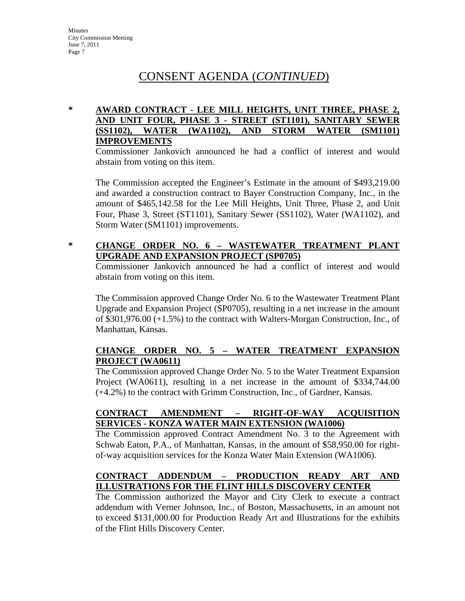### **\* AWARD CONTRACT - LEE MILL HEIGHTS, UNIT THREE, PHASE 2, AND UNIT FOUR, PHASE 3 - STREET (ST1101), SANITARY SEWER (SS1102), WATER (WA1102), AND STORM WATER (SM1101) IMPROVEMENTS**

Commissioner Jankovich announced he had a conflict of interest and would abstain from voting on this item.

The Commission accepted the Engineer's Estimate in the amount of \$493,219.00 and awarded a construction contract to Bayer Construction Company, Inc., in the amount of \$465,142.58 for the Lee Mill Heights, Unit Three, Phase 2, and Unit Four, Phase 3, Street (ST1101), Sanitary Sewer (SS1102), Water (WA1102), and Storm Water (SM1101) improvements.

## **\* CHANGE ORDER NO. 6 – WASTEWATER TREATMENT PLANT UPGRADE AND EXPANSION PROJECT (SP0705)**

Commissioner Jankovich announced he had a conflict of interest and would abstain from voting on this item.

The Commission approved Change Order No. 6 to the Wastewater Treatment Plant Upgrade and Expansion Project (SP0705), resulting in a net increase in the amount of \$301,976.00 (+1.5%) to the contract with Walters-Morgan Construction, Inc., of Manhattan, Kansas.

## **CHANGE ORDER NO. 5 – WATER TREATMENT EXPANSION PROJECT (WA0611)**

The Commission approved Change Order No. 5 to the Water Treatment Expansion Project (WA0611), resulting in a net increase in the amount of \$334,744.00 (+4.2%) to the contract with Grimm Construction, Inc., of Gardner, Kansas.

### **CONTRACT AMENDMENT – RIGHT-OF-WAY ACQUISITION SERVICES - KONZA WATER MAIN EXTENSION (WA1006)**

The Commission approved Contract Amendment No. 3 to the Agreement with Schwab Eaton, P.A., of Manhattan, Kansas, in the amount of \$58,950.00 for rightof-way acquisition services for the Konza Water Main Extension (WA1006).

## **CONTRACT ADDENDUM – PRODUCTION READY ART AND ILLUSTRATIONS FOR THE FLINT HILLS DISCOVERY CENTER**

The Commission authorized the Mayor and City Clerk to execute a contract addendum with Verner Johnson, Inc., of Boston, Massachusetts, in an amount not to exceed \$131,000.00 for Production Ready Art and Illustrations for the exhibits of the Flint Hills Discovery Center.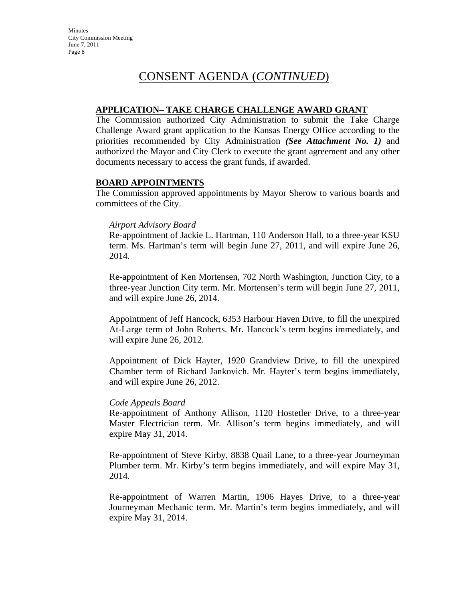#### **APPLICATION– TAKE CHARGE CHALLENGE AWARD GRANT**

The Commission authorized City Administration to submit the Take Charge Challenge Award grant application to the Kansas Energy Office according to the priorities recommended by City Administration *(See Attachment No. 1)* and authorized the Mayor and City Clerk to execute the grant agreement and any other documents necessary to access the grant funds, if awarded.

#### **BOARD APPOINTMENTS**

The Commission approved appointments by Mayor Sherow to various boards and committees of the City.

#### *Airport Advisory Board*

Re-appointment of Jackie L. Hartman, 110 Anderson Hall, to a three-year KSU term. Ms. Hartman's term will begin June 27, 2011, and will expire June 26, 2014.

Re-appointment of Ken Mortensen, 702 North Washington, Junction City, to a three-year Junction City term. Mr. Mortensen's term will begin June 27, 2011, and will expire June 26, 2014.

Appointment of Jeff Hancock, 6353 Harbour Haven Drive, to fill the unexpired At-Large term of John Roberts. Mr. Hancock's term begins immediately, and will expire June 26, 2012.

Appointment of Dick Hayter, 1920 Grandview Drive, to fill the unexpired Chamber term of Richard Jankovich. Mr. Hayter's term begins immediately, and will expire June 26, 2012.

#### *Code Appeals Board*

Re-appointment of Anthony Allison, 1120 Hostetler Drive, to a three-year Master Electrician term. Mr. Allison's term begins immediately, and will expire May 31, 2014.

Re-appointment of Steve Kirby, 8838 Quail Lane, to a three-year Journeyman Plumber term. Mr. Kirby's term begins immediately, and will expire May 31, 2014.

Re-appointment of Warren Martin, 1906 Hayes Drive, to a three-year Journeyman Mechanic term. Mr. Martin's term begins immediately, and will expire May 31, 2014.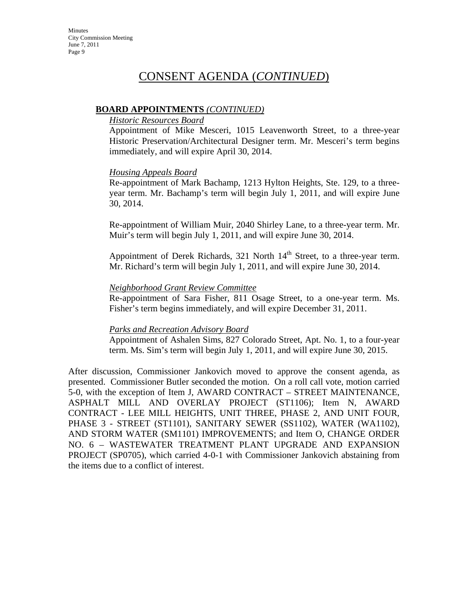#### **BOARD APPOINTMENTS** *(CONTINUED)*

#### *Historic Resources Board*

Appointment of Mike Mesceri, 1015 Leavenworth Street, to a three-year Historic Preservation/Architectural Designer term. Mr. Mesceri's term begins immediately, and will expire April 30, 2014.

#### *Housing Appeals Board*

Re-appointment of Mark Bachamp, 1213 Hylton Heights, Ste. 129, to a threeyear term. Mr. Bachamp's term will begin July 1, 2011, and will expire June 30, 2014.

Re-appointment of William Muir, 2040 Shirley Lane, to a three-year term. Mr. Muir's term will begin July 1, 2011, and will expire June 30, 2014.

Appointment of Derek Richards, 321 North  $14<sup>th</sup>$  Street, to a three-year term. Mr. Richard's term will begin July 1, 2011, and will expire June 30, 2014.

#### *Neighborhood Grant Review Committee*

Re-appointment of Sara Fisher, 811 Osage Street, to a one-year term. Ms. Fisher's term begins immediately, and will expire December 31, 2011.

#### *Parks and Recreation Advisory Board*

Appointment of Ashalen Sims, 827 Colorado Street, Apt. No. 1, to a four-year term. Ms. Sim's term will begin July 1, 2011, and will expire June 30, 2015.

After discussion, Commissioner Jankovich moved to approve the consent agenda, as presented. Commissioner Butler seconded the motion. On a roll call vote, motion carried 5-0, with the exception of Item J, AWARD CONTRACT – STREET MAINTENANCE, ASPHALT MILL AND OVERLAY PROJECT (ST1106); Item N, AWARD CONTRACT - LEE MILL HEIGHTS, UNIT THREE, PHASE 2, AND UNIT FOUR, PHASE 3 - STREET (ST1101), SANITARY SEWER (SS1102), WATER (WA1102), AND STORM WATER (SM1101) IMPROVEMENTS; and Item O, CHANGE ORDER NO. 6 – WASTEWATER TREATMENT PLANT UPGRADE AND EXPANSION PROJECT (SP0705), which carried 4-0-1 with Commissioner Jankovich abstaining from the items due to a conflict of interest.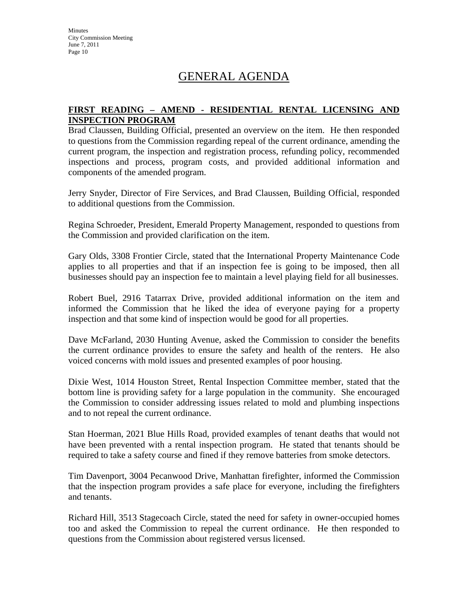# GENERAL AGENDA

#### **FIRST READING – AMEND - RESIDENTIAL RENTAL LICENSING AND INSPECTION PROGRAM**

Brad Claussen, Building Official, presented an overview on the item. He then responded to questions from the Commission regarding repeal of the current ordinance, amending the current program, the inspection and registration process, refunding policy, recommended inspections and process, program costs, and provided additional information and components of the amended program.

Jerry Snyder, Director of Fire Services, and Brad Claussen, Building Official, responded to additional questions from the Commission.

Regina Schroeder, President, Emerald Property Management, responded to questions from the Commission and provided clarification on the item.

Gary Olds, 3308 Frontier Circle, stated that the International Property Maintenance Code applies to all properties and that if an inspection fee is going to be imposed, then all businesses should pay an inspection fee to maintain a level playing field for all businesses.

Robert Buel, 2916 Tatarrax Drive, provided additional information on the item and informed the Commission that he liked the idea of everyone paying for a property inspection and that some kind of inspection would be good for all properties.

Dave McFarland, 2030 Hunting Avenue, asked the Commission to consider the benefits the current ordinance provides to ensure the safety and health of the renters. He also voiced concerns with mold issues and presented examples of poor housing.

Dixie West, 1014 Houston Street, Rental Inspection Committee member, stated that the bottom line is providing safety for a large population in the community. She encouraged the Commission to consider addressing issues related to mold and plumbing inspections and to not repeal the current ordinance.

Stan Hoerman, 2021 Blue Hills Road, provided examples of tenant deaths that would not have been prevented with a rental inspection program. He stated that tenants should be required to take a safety course and fined if they remove batteries from smoke detectors.

Tim Davenport, 3004 Pecanwood Drive, Manhattan firefighter, informed the Commission that the inspection program provides a safe place for everyone, including the firefighters and tenants.

Richard Hill, 3513 Stagecoach Circle, stated the need for safety in owner-occupied homes too and asked the Commission to repeal the current ordinance. He then responded to questions from the Commission about registered versus licensed.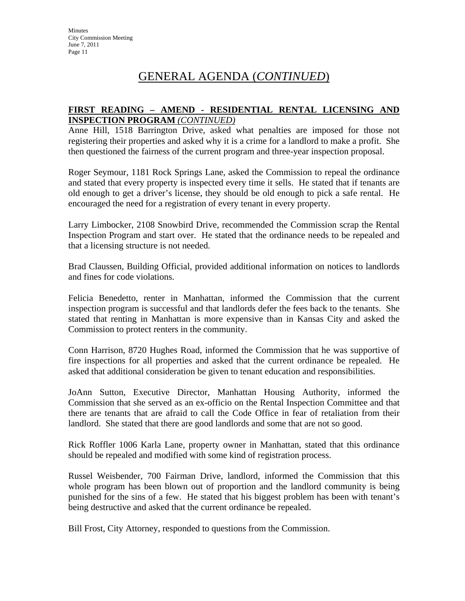#### **FIRST READING – AMEND - RESIDENTIAL RENTAL LICENSING AND INSPECTION PROGRAM** *(CONTINUED)*

Anne Hill, 1518 Barrington Drive, asked what penalties are imposed for those not registering their properties and asked why it is a crime for a landlord to make a profit. She then questioned the fairness of the current program and three-year inspection proposal.

Roger Seymour, 1181 Rock Springs Lane, asked the Commission to repeal the ordinance and stated that every property is inspected every time it sells. He stated that if tenants are old enough to get a driver's license, they should be old enough to pick a safe rental. He encouraged the need for a registration of every tenant in every property.

Larry Limbocker, 2108 Snowbird Drive, recommended the Commission scrap the Rental Inspection Program and start over. He stated that the ordinance needs to be repealed and that a licensing structure is not needed.

Brad Claussen, Building Official, provided additional information on notices to landlords and fines for code violations.

Felicia Benedetto, renter in Manhattan, informed the Commission that the current inspection program is successful and that landlords defer the fees back to the tenants. She stated that renting in Manhattan is more expensive than in Kansas City and asked the Commission to protect renters in the community.

Conn Harrison, 8720 Hughes Road, informed the Commission that he was supportive of fire inspections for all properties and asked that the current ordinance be repealed. He asked that additional consideration be given to tenant education and responsibilities.

JoAnn Sutton, Executive Director, Manhattan Housing Authority, informed the Commission that she served as an ex-officio on the Rental Inspection Committee and that there are tenants that are afraid to call the Code Office in fear of retaliation from their landlord. She stated that there are good landlords and some that are not so good.

Rick Roffler 1006 Karla Lane, property owner in Manhattan, stated that this ordinance should be repealed and modified with some kind of registration process.

Russel Weisbender, 700 Fairman Drive, landlord, informed the Commission that this whole program has been blown out of proportion and the landlord community is being punished for the sins of a few. He stated that his biggest problem has been with tenant's being destructive and asked that the current ordinance be repealed.

Bill Frost, City Attorney, responded to questions from the Commission.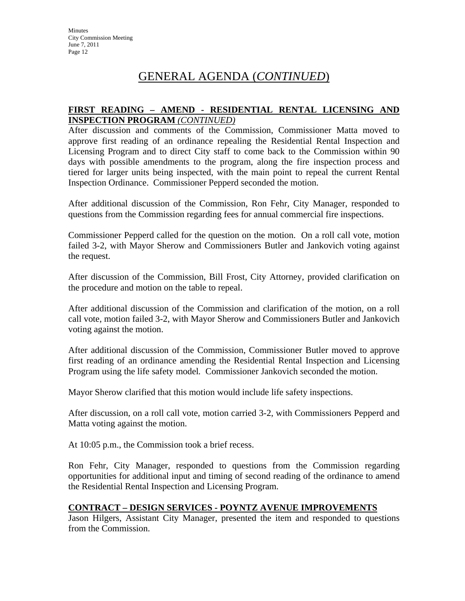#### **FIRST READING – AMEND - RESIDENTIAL RENTAL LICENSING AND INSPECTION PROGRAM** *(CONTINUED)*

After discussion and comments of the Commission, Commissioner Matta moved to approve first reading of an ordinance repealing the Residential Rental Inspection and Licensing Program and to direct City staff to come back to the Commission within 90 days with possible amendments to the program, along the fire inspection process and tiered for larger units being inspected, with the main point to repeal the current Rental Inspection Ordinance. Commissioner Pepperd seconded the motion.

After additional discussion of the Commission, Ron Fehr, City Manager, responded to questions from the Commission regarding fees for annual commercial fire inspections.

Commissioner Pepperd called for the question on the motion. On a roll call vote, motion failed 3-2, with Mayor Sherow and Commissioners Butler and Jankovich voting against the request.

After discussion of the Commission, Bill Frost, City Attorney, provided clarification on the procedure and motion on the table to repeal.

After additional discussion of the Commission and clarification of the motion, on a roll call vote, motion failed 3-2, with Mayor Sherow and Commissioners Butler and Jankovich voting against the motion.

After additional discussion of the Commission, Commissioner Butler moved to approve first reading of an ordinance amending the Residential Rental Inspection and Licensing Program using the life safety model*.* Commissioner Jankovich seconded the motion.

Mayor Sherow clarified that this motion would include life safety inspections.

After discussion, on a roll call vote, motion carried 3-2, with Commissioners Pepperd and Matta voting against the motion.

At 10:05 p.m., the Commission took a brief recess.

Ron Fehr, City Manager, responded to questions from the Commission regarding opportunities for additional input and timing of second reading of the ordinance to amend the Residential Rental Inspection and Licensing Program.

### **CONTRACT – DESIGN SERVICES - POYNTZ AVENUE IMPROVEMENTS**

Jason Hilgers, Assistant City Manager, presented the item and responded to questions from the Commission.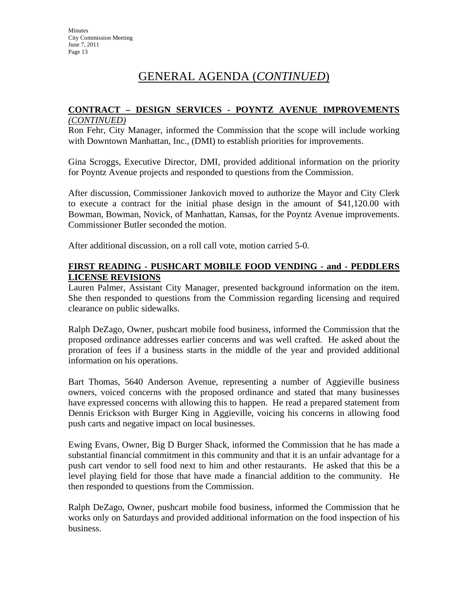#### **CONTRACT – DESIGN SERVICES - POYNTZ AVENUE IMPROVEMENTS** *(CONTINUED)*

Ron Fehr, City Manager, informed the Commission that the scope will include working with Downtown Manhattan, Inc., (DMI) to establish priorities for improvements.

Gina Scroggs, Executive Director, DMI, provided additional information on the priority for Poyntz Avenue projects and responded to questions from the Commission.

After discussion, Commissioner Jankovich moved to authorize the Mayor and City Clerk to execute a contract for the initial phase design in the amount of \$41,120.00 with Bowman, Bowman, Novick, of Manhattan, Kansas, for the Poyntz Avenue improvements. Commissioner Butler seconded the motion.

After additional discussion, on a roll call vote, motion carried 5-0.

### **FIRST READING - PUSHCART MOBILE FOOD VENDING - and - PEDDLERS LICENSE REVISIONS**

Lauren Palmer, Assistant City Manager, presented background information on the item. She then responded to questions from the Commission regarding licensing and required clearance on public sidewalks.

Ralph DeZago, Owner, pushcart mobile food business, informed the Commission that the proposed ordinance addresses earlier concerns and was well crafted. He asked about the proration of fees if a business starts in the middle of the year and provided additional information on his operations.

Bart Thomas, 5640 Anderson Avenue, representing a number of Aggieville business owners, voiced concerns with the proposed ordinance and stated that many businesses have expressed concerns with allowing this to happen. He read a prepared statement from Dennis Erickson with Burger King in Aggieville, voicing his concerns in allowing food push carts and negative impact on local businesses.

Ewing Evans, Owner, Big D Burger Shack, informed the Commission that he has made a substantial financial commitment in this community and that it is an unfair advantage for a push cart vendor to sell food next to him and other restaurants. He asked that this be a level playing field for those that have made a financial addition to the community. He then responded to questions from the Commission.

Ralph DeZago, Owner, pushcart mobile food business, informed the Commission that he works only on Saturdays and provided additional information on the food inspection of his business.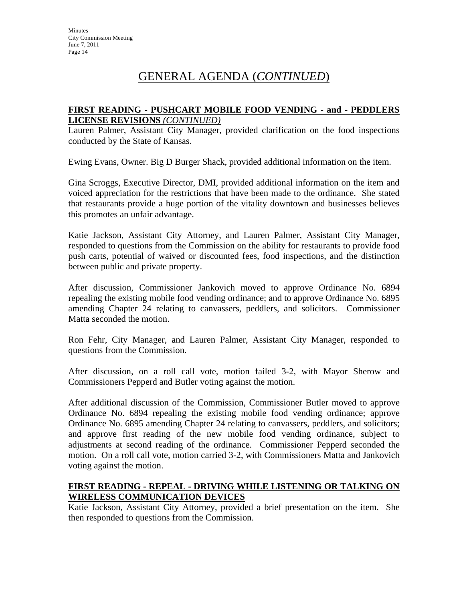#### **FIRST READING - PUSHCART MOBILE FOOD VENDING - and - PEDDLERS LICENSE REVISIONS** *(CONTINUED)*

Lauren Palmer, Assistant City Manager, provided clarification on the food inspections conducted by the State of Kansas.

Ewing Evans, Owner. Big D Burger Shack, provided additional information on the item.

Gina Scroggs, Executive Director, DMI, provided additional information on the item and voiced appreciation for the restrictions that have been made to the ordinance. She stated that restaurants provide a huge portion of the vitality downtown and businesses believes this promotes an unfair advantage.

Katie Jackson, Assistant City Attorney, and Lauren Palmer, Assistant City Manager, responded to questions from the Commission on the ability for restaurants to provide food push carts, potential of waived or discounted fees, food inspections, and the distinction between public and private property.

After discussion, Commissioner Jankovich moved to approve Ordinance No. 6894 repealing the existing mobile food vending ordinance; and to approve Ordinance No. 6895 amending Chapter 24 relating to canvassers, peddlers, and solicitors. Commissioner Matta seconded the motion.

Ron Fehr, City Manager, and Lauren Palmer, Assistant City Manager, responded to questions from the Commission.

After discussion, on a roll call vote, motion failed 3-2, with Mayor Sherow and Commissioners Pepperd and Butler voting against the motion.

After additional discussion of the Commission, Commissioner Butler moved to approve Ordinance No. 6894 repealing the existing mobile food vending ordinance; approve Ordinance No. 6895 amending Chapter 24 relating to canvassers, peddlers, and solicitors; and approve first reading of the new mobile food vending ordinance, subject to adjustments at second reading of the ordinance. Commissioner Pepperd seconded the motion. On a roll call vote, motion carried 3-2, with Commissioners Matta and Jankovich voting against the motion.

## **FIRST READING - REPEAL - DRIVING WHILE LISTENING OR TALKING ON WIRELESS COMMUNICATION DEVICES**

Katie Jackson, Assistant City Attorney, provided a brief presentation on the item. She then responded to questions from the Commission.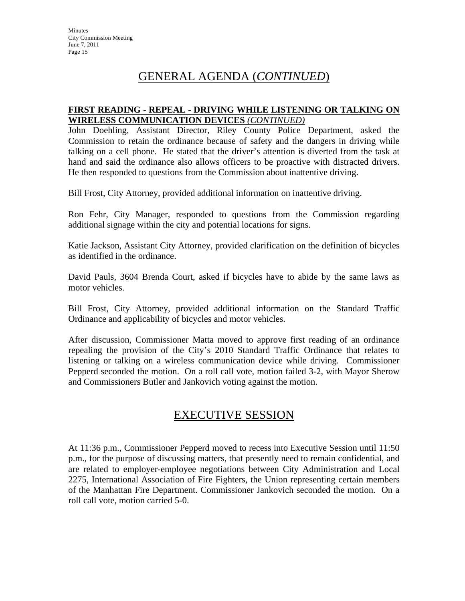#### **FIRST READING - REPEAL - DRIVING WHILE LISTENING OR TALKING ON WIRELESS COMMUNICATION DEVICES** *(CONTINUED)*

John Doehling, Assistant Director, Riley County Police Department, asked the Commission to retain the ordinance because of safety and the dangers in driving while talking on a cell phone. He stated that the driver's attention is diverted from the task at hand and said the ordinance also allows officers to be proactive with distracted drivers. He then responded to questions from the Commission about inattentive driving.

Bill Frost, City Attorney, provided additional information on inattentive driving.

Ron Fehr, City Manager, responded to questions from the Commission regarding additional signage within the city and potential locations for signs.

Katie Jackson, Assistant City Attorney, provided clarification on the definition of bicycles as identified in the ordinance.

David Pauls, 3604 Brenda Court, asked if bicycles have to abide by the same laws as motor vehicles.

Bill Frost, City Attorney, provided additional information on the Standard Traffic Ordinance and applicability of bicycles and motor vehicles.

After discussion, Commissioner Matta moved to approve first reading of an ordinance repealing the provision of the City's 2010 Standard Traffic Ordinance that relates to listening or talking on a wireless communication device while driving. Commissioner Pepperd seconded the motion. On a roll call vote, motion failed 3-2, with Mayor Sherow and Commissioners Butler and Jankovich voting against the motion.

## EXECUTIVE SESSION

At 11:36 p.m., Commissioner Pepperd moved to recess into Executive Session until 11:50 p.m., for the purpose of discussing matters, that presently need to remain confidential, and are related to employer-employee negotiations between City Administration and Local 2275, International Association of Fire Fighters, the Union representing certain members of the Manhattan Fire Department. Commissioner Jankovich seconded the motion. On a roll call vote, motion carried 5-0.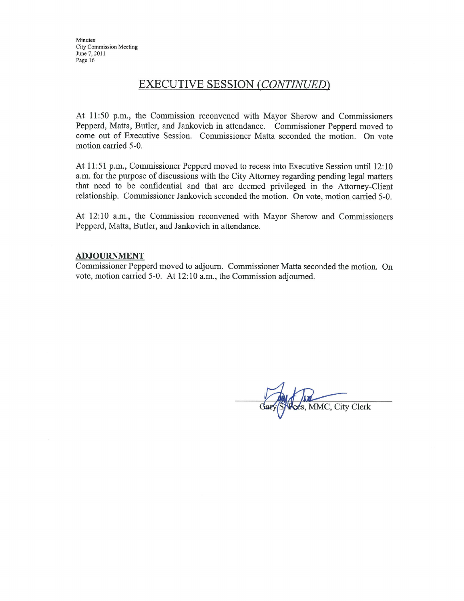Minutes **City Commission Meeting** June 7, 2011 Page 16

## **EXECUTIVE SESSION (CONTINUED)**

At 11:50 p.m., the Commission reconvened with Mayor Sherow and Commissioners Pepperd, Matta, Butler, and Jankovich in attendance. Commissioner Pepperd moved to come out of Executive Session. Commissioner Matta seconded the motion. On vote motion carried 5-0.

At 11:51 p.m., Commissioner Pepperd moved to recess into Executive Session until 12:10 a.m. for the purpose of discussions with the City Attorney regarding pending legal matters that need to be confidential and that are deemed privileged in the Attorney-Client relationship. Commissioner Jankovich seconded the motion. On vote, motion carried 5-0.

At 12:10 a.m., the Commission reconvened with Mayor Sherow and Commissioners Pepperd, Matta, Butler, and Jankovich in attendance.

#### **ADJOURNMENT**

Commissioner Pepperd moved to adjourn. Commissioner Matta seconded the motion. On vote, motion carried 5-0. At 12:10 a.m., the Commission adjourned.

s, MMC, City Clerk